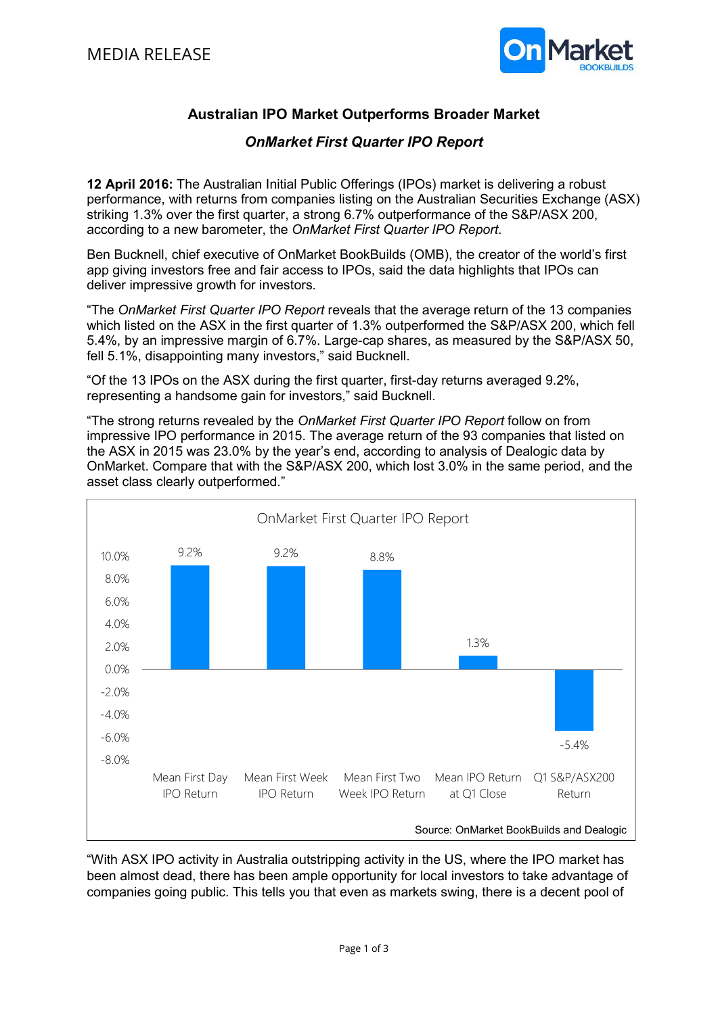

## Australian IPO Market Outperforms Broader Market

## OnMarket First Quarter IPO Report

12 April 2016: The Australian Initial Public Offerings (IPOs) market is delivering a robust performance, with returns from companies listing on the Australian Securities Exchange (ASX) striking 1.3% over the first quarter, a strong 6.7% outperformance of the S&P/ASX 200, according to a new barometer, the OnMarket First Quarter IPO Report.

Ben Bucknell, chief executive of OnMarket BookBuilds (OMB), the creator of the world's first app giving investors free and fair access to IPOs, said the data highlights that IPOs can deliver impressive growth for investors.

"The OnMarket First Quarter IPO Report reveals that the average return of the 13 companies which listed on the ASX in the first quarter of 1.3% outperformed the S&P/ASX 200, which fell 5.4%, by an impressive margin of 6.7%. Large-cap shares, as measured by the S&P/ASX 50, fell 5.1%, disappointing many investors," said Bucknell.

"Of the 13 IPOs on the ASX during the first quarter, first-day returns averaged 9.2%, representing a handsome gain for investors," said Bucknell.

"The strong returns revealed by the OnMarket First Quarter IPO Report follow on from impressive IPO performance in 2015. The average return of the 93 companies that listed on the ASX in 2015 was 23.0% by the year's end, according to analysis of Dealogic data by OnMarket. Compare that with the S&P/ASX 200, which lost 3.0% in the same period, and the asset class clearly outperformed."



"With ASX IPO activity in Australia outstripping activity in the US, where the IPO market has been almost dead, there has been ample opportunity for local investors to take advantage of companies going public. This tells you that even as markets swing, there is a decent pool of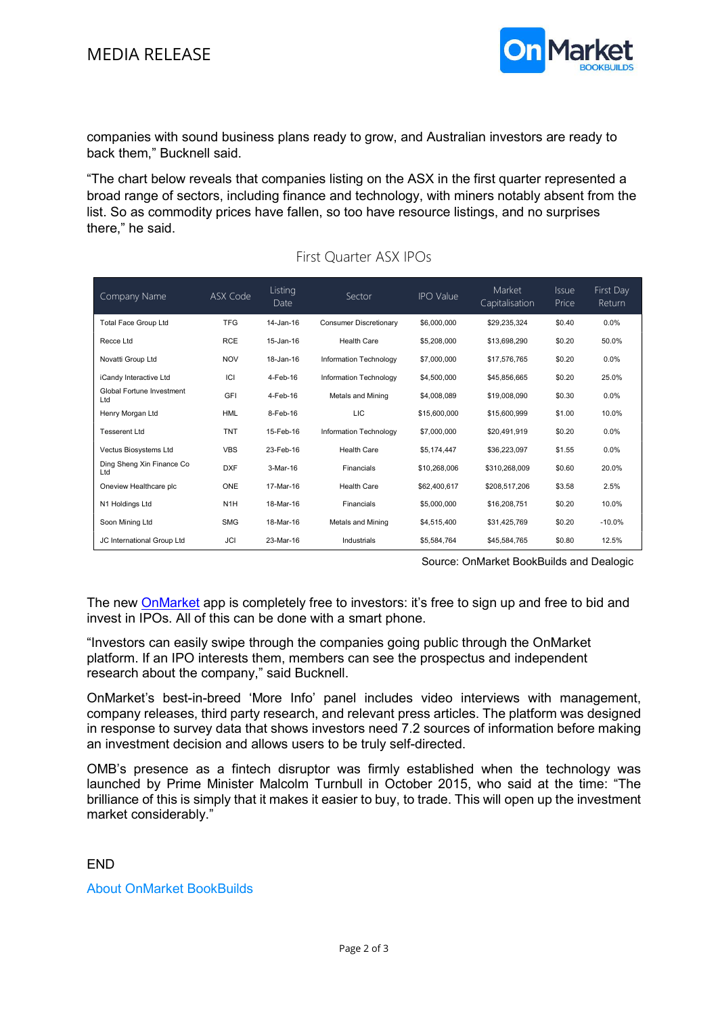

companies with sound business plans ready to grow, and Australian investors are ready to back them," Bucknell said.

"The chart below reveals that companies listing on the ASX in the first quarter represented a broad range of sectors, including finance and technology, with miners notably absent from the list. So as commodity prices have fallen, so too have resource listings, and no surprises there," he said.

| Company Name                      | ASX Code         | Listing<br>Date | Sector                        | <b>IPO Value</b> | Market<br>Capitalisation | <b>Issue</b><br>Price | First Day<br>Return |
|-----------------------------------|------------------|-----------------|-------------------------------|------------------|--------------------------|-----------------------|---------------------|
| Total Face Group Ltd              | <b>TFG</b>       | $14 - Jan-16$   | <b>Consumer Discretionary</b> | \$6,000,000      | \$29,235,324             | \$0.40                | 0.0%                |
| Recce Ltd                         | <b>RCE</b>       | 15-Jan-16       | <b>Health Care</b>            | \$5,208,000      | \$13,698,290             | \$0.20                | 50.0%               |
| Novatti Group Ltd                 | <b>NOV</b>       | 18-Jan-16       | Information Technology        | \$7,000,000      | \$17,576,765             | \$0.20                | 0.0%                |
| iCandy Interactive Ltd            | ICI              | 4-Feb-16        | Information Technology        | \$4,500,000      | \$45,856,665             | \$0.20                | 25.0%               |
| Global Fortune Investment<br>Ltd  | GFI              | 4-Feb-16        | Metals and Mining             | \$4,008,089      | \$19,008,090             | \$0.30                | 0.0%                |
| Henry Morgan Ltd                  | <b>HML</b>       | 8-Feb-16        | LIC                           | \$15,600,000     | \$15,600.999             | \$1.00                | 10.0%               |
| Tesserent Ltd                     | <b>TNT</b>       | 15-Feb-16       | Information Technology        | \$7,000,000      | \$20,491,919             | \$0.20                | 0.0%                |
| Vectus Biosystems Ltd             | <b>VBS</b>       | 23-Feb-16       | <b>Health Care</b>            | \$5,174,447      | \$36,223,097             | \$1.55                | 0.0%                |
| Ding Sheng Xin Finance Co.<br>Ltd | <b>DXF</b>       | 3-Mar-16        | Financials                    | \$10,268,006     | \$310,268,009            | \$0.60                | 20.0%               |
| Oneview Healthcare plc            | ONE              | 17-Mar-16       | <b>Health Care</b>            | \$62,400,617     | \$208,517,206            | \$3.58                | 2.5%                |
| N1 Holdings Ltd                   | N <sub>1</sub> H | 18-Mar-16       | Financials                    | \$5,000,000      | \$16,208,751             | \$0.20                | 10.0%               |
| Soon Mining Ltd                   | <b>SMG</b>       | 18-Mar-16       | Metals and Mining             | \$4,515,400      | \$31,425,769             | \$0.20                | $-10.0%$            |
| JC International Group Ltd        | <b>JCI</b>       | 23-Mar-16       | Industrials                   | \$5.584.764      | \$45,584,765             | \$0.80                | 12.5%               |

## First Quarter ASX IPOs

Source: OnMarket BookBuilds and Dealogic

The new OnMarket app is completely free to investors: it's free to sign up and free to bid and invest in IPOs. All of this can be done with a smart phone.

"Investors can easily swipe through the companies going public through the OnMarket platform. If an IPO interests them, members can see the prospectus and independent research about the company," said Bucknell.

OnMarket's best-in-breed 'More Info' panel includes video interviews with management, company releases, third party research, and relevant press articles. The platform was designed in response to survey data that shows investors need 7.2 sources of information before making an investment decision and allows users to be truly self-directed.

OMB's presence as a fintech disruptor was firmly established when the technology was launched by Prime Minister Malcolm Turnbull in October 2015, who said at the time: "The brilliance of this is simply that it makes it easier to buy, to trade. This will open up the investment market considerably."

## END

About OnMarket BookBuilds